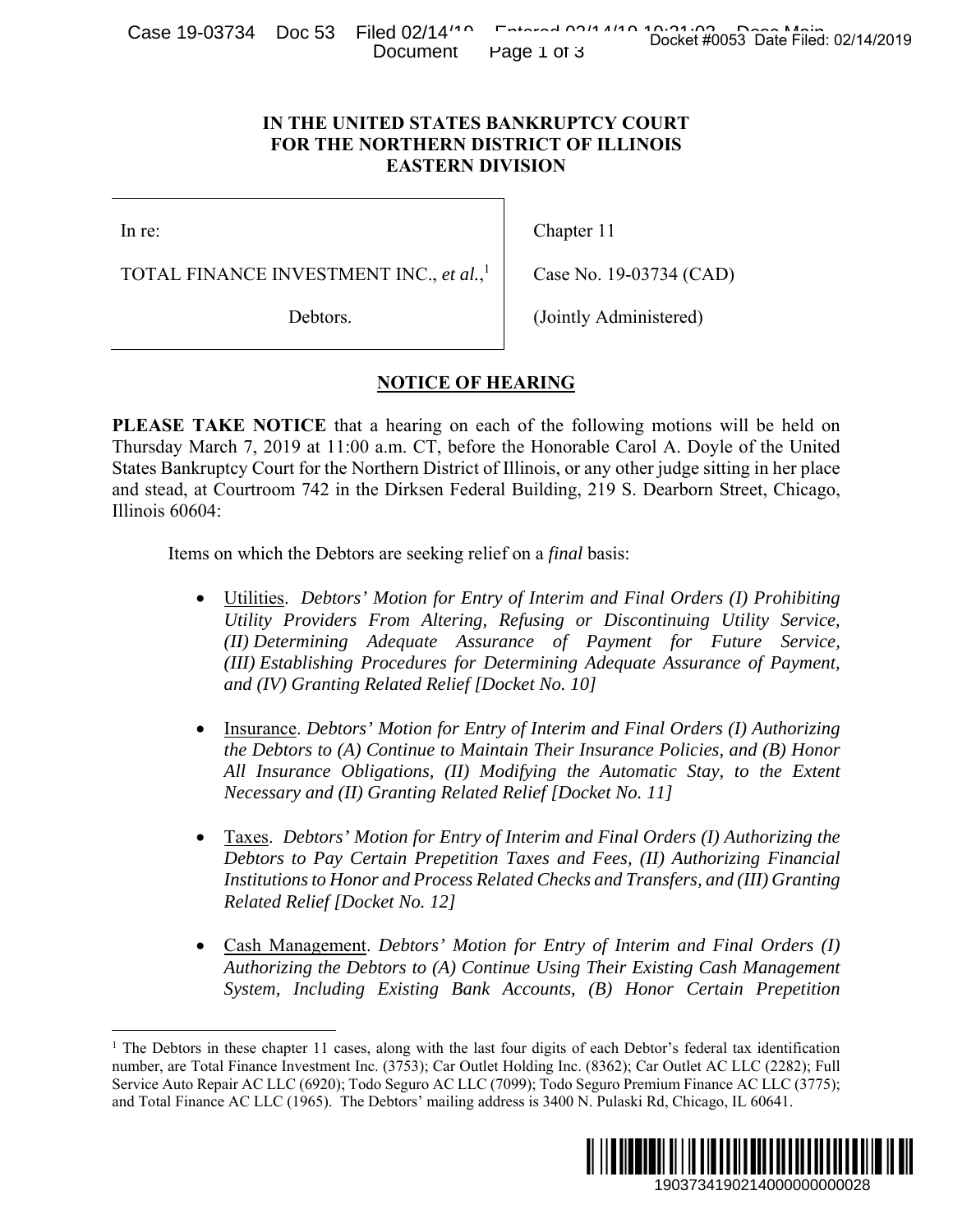Case 19-03734 Doc 53 Filed 02/14<sup>140</sup> Entered 02/14/19 10:01:02 Docket #0053 Date Filed: 02/14/2019 Document Page 1 of 3

## **IN THE UNITED STATES BANKRUPTCY COURT FOR THE NORTHERN DISTRICT OF ILLINOIS EASTERN DIVISION**

In re:

 $\overline{a}$ 

TOTAL FINANCE INVESTMENT INC., *et al.*, 1

Debtors.

Chapter 11

Case No. 19-03734 (CAD)

(Jointly Administered)

## **NOTICE OF HEARING**

**PLEASE TAKE NOTICE** that a hearing on each of the following motions will be held on Thursday March 7, 2019 at 11:00 a.m. CT, before the Honorable Carol A. Doyle of the United States Bankruptcy Court for the Northern District of Illinois, or any other judge sitting in her place and stead, at Courtroom 742 in the Dirksen Federal Building, 219 S. Dearborn Street, Chicago, Illinois 60604:

Items on which the Debtors are seeking relief on a *final* basis:

- Utilities. *Debtors' Motion for Entry of Interim and Final Orders (I) Prohibiting Utility Providers From Altering, Refusing or Discontinuing Utility Service, (II) Determining Adequate Assurance of Payment for Future Service, (III) Establishing Procedures for Determining Adequate Assurance of Payment, and (IV) Granting Related Relief [Docket No. 10]* Docket #0053 Date Filed: 02/14/2019<br>
URT<br>
URT<br>
OIS<br>
1934 (CAD)<br>
istered)<br>
motions will be held on<br>
1 A. Doyle of the United<br>
rjudge sitting in her place<br>
Dearborn Street, Chicago,<br>
al Orders (1) Prohibiting<br>
turnuing Util
- Insurance. *Debtors' Motion for Entry of Interim and Final Orders (I) Authorizing the Debtors to (A) Continue to Maintain Their Insurance Policies, and (B) Honor All Insurance Obligations, (II) Modifying the Automatic Stay, to the Extent Necessary and (II) Granting Related Relief [Docket No. 11]*
- Taxes. *Debtors' Motion for Entry of Interim and Final Orders (I) Authorizing the Debtors to Pay Certain Prepetition Taxes and Fees, (II) Authorizing Financial Institutions to Honor and Process Related Checks and Transfers, and (III) Granting Related Relief [Docket No. 12]*
- Cash Management. *Debtors' Motion for Entry of Interim and Final Orders (I) Authorizing the Debtors to (A) Continue Using Their Existing Cash Management System, Including Existing Bank Accounts, (B) Honor Certain Prepetition*

<sup>&</sup>lt;sup>1</sup> The Debtors in these chapter 11 cases, along with the last four digits of each Debtor's federal tax identification number, are Total Finance Investment Inc. (3753); Car Outlet Holding Inc. (8362); Car Outlet AC LLC (2282); Full Service Auto Repair AC LLC (6920); Todo Seguro AC LLC (7099); Todo Seguro Premium Finance AC LLC (3775); and Total Finance AC LLC (1965). The Debtors' mailing address is 3400 N. Pulaski Rd, Chicago, IL 60641.

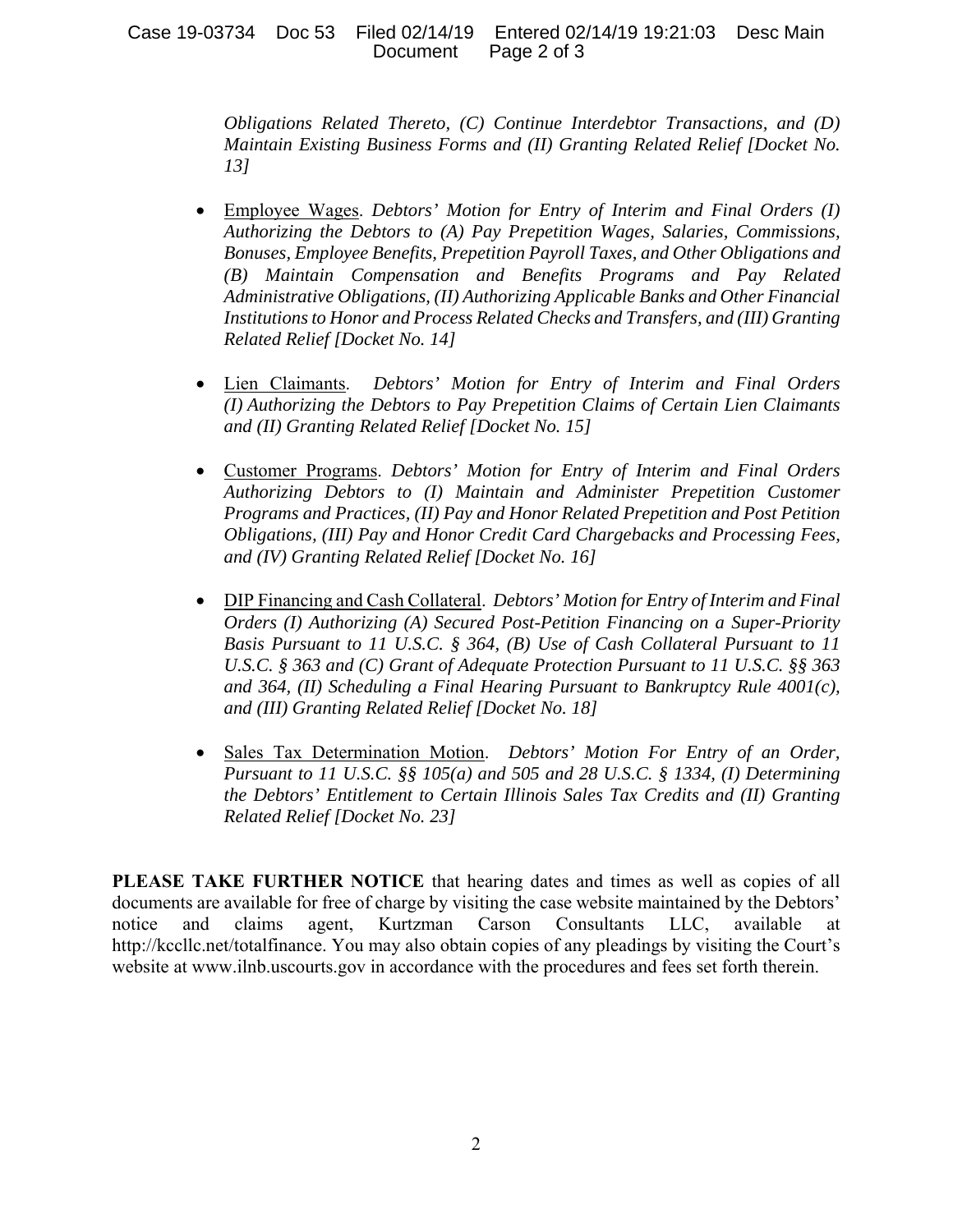## Case 19-03734 Doc 53 Filed 02/14/19 Entered 02/14/19 19:21:03 Desc Main Document Page 2 of 3

*Obligations Related Thereto, (C) Continue Interdebtor Transactions, and (D) Maintain Existing Business Forms and (II) Granting Related Relief [Docket No. 13]*

- Employee Wages. *Debtors' Motion for Entry of Interim and Final Orders (I) Authorizing the Debtors to (A) Pay Prepetition Wages, Salaries, Commissions, Bonuses, Employee Benefits, Prepetition Payroll Taxes, and Other Obligations and (B) Maintain Compensation and Benefits Programs and Pay Related Administrative Obligations, (II) Authorizing Applicable Banks and Other Financial Institutions to Honor and Process Related Checks and Transfers, and (III) Granting Related Relief [Docket No. 14]*
- Lien Claimants. *Debtors' Motion for Entry of Interim and Final Orders (I) Authorizing the Debtors to Pay Prepetition Claims of Certain Lien Claimants and (II) Granting Related Relief [Docket No. 15]*
- Customer Programs. *Debtors' Motion for Entry of Interim and Final Orders Authorizing Debtors to (I) Maintain and Administer Prepetition Customer Programs and Practices, (II) Pay and Honor Related Prepetition and Post Petition Obligations, (III) Pay and Honor Credit Card Chargebacks and Processing Fees, and (IV) Granting Related Relief [Docket No. 16]*
- DIP Financing and Cash Collateral. *Debtors' Motion for Entry of Interim and Final Orders (I) Authorizing (A) Secured Post-Petition Financing on a Super-Priority Basis Pursuant to 11 U.S.C. § 364, (B) Use of Cash Collateral Pursuant to 11 U.S.C. § 363 and (C) Grant of Adequate Protection Pursuant to 11 U.S.C. §§ 363 and 364, (II) Scheduling a Final Hearing Pursuant to Bankruptcy Rule 4001(c), and (III) Granting Related Relief [Docket No. 18]*
- Sales Tax Determination Motion. *Debtors' Motion For Entry of an Order, Pursuant to 11 U.S.C. §§ 105(a) and 505 and 28 U.S.C. § 1334, (I) Determining the Debtors' Entitlement to Certain Illinois Sales Tax Credits and (II) Granting Related Relief [Docket No. 23]*

**PLEASE TAKE FURTHER NOTICE** that hearing dates and times as well as copies of all documents are available for free of charge by visiting the case website maintained by the Debtors' notice and claims agent, Kurtzman Carson Consultants LLC, available at http://kccllc.net/totalfinance. You may also obtain copies of any pleadings by visiting the Court's website at www.ilnb.uscourts.gov in accordance with the procedures and fees set forth therein.